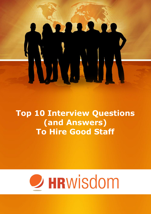**Top 10 Interview Questions (and Answers) To Hire Good Staff**

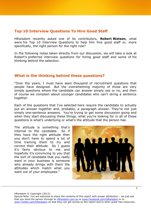# **Top 10 Interview Questions To Hire Good Staff**

HRwisdom recently asked one of its contributors, **Robert Watson**, what were his Top 10 Interview Questions to help him hire good staff or, more specifically, the right person for the right role?

In the following notes taken directly from our discussion, we will take a look at Robert's preferred interview questions for hiring good staff and some of his thinking behind the selection.

## **What is the thinking behind these questions?**

"Over the years, I must have seen thousand of recruitment questions that people have designed. But the overwhelming majority of those are very simple questions where the candidate can answer simply yes or no, and then of course we complain about younger candidates who can't string a sentence together.

Each of the questions that I've selected here require the candidate to actually put an answer together and, probably, a paragraph answer. They're not just simply one-sentence answers. You're trying to get some discussion going and when they start discussing these things, what you're looking for in all of these questions is what's underlying or what's the attitude that the person has.

The attitude is something that's internal to the candidate. So if they have the right attitude then you don't have to spend a lot of time training them to try and correct their attitude. So I guess it's fairly obvious to me and hopefully it's convincing to you that the sort of candidate that you really want in your business is someone who already brings with them the attitudes which match what you want out of your employees."



HRwisdom © Copyright (2012).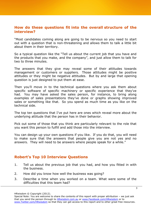### **How do these questions fit into the overall structure of the interview?**

"Most candidates coming along are going to be nervous so you need to start out with a question that is non-threatening and allows them to talk a little bit about them in their territory.

So a typical question like the "Tell us about the current job that you have and the products that you make, and the company", and just allow them to talk for two to three minutes.

The answers that they give may reveal some of their attitudes towards management or customers or suppliers. Those attitudes might be positive attitudes or they might be negative attitudes. But by and large that opening question is just designed to put them at ease.

Then you'll move in to the technical questions where you ask them about specific software of specific machinery or specific experience that they've had. You may have asked the sales person, for instance, to bring along examples of sales presentations they've done or graphs showing improved sales or something like that. So you spend as much time as you like on the technical side.

The top ten questions that I've put here are ones which reveal more about the underlying attitude that the person has in their behavior.

Pick out some of those that you think are particularly relevant to the role that you want this person to fulfill and add those into the interview.

You can design up your own questions if you like. If you do that, you will need to make sure that the answers that people give you are not yes and no answers. They will need to be answers where people speak for a while."

# **Robert's Top 10 Interview Questions**

- 1. Tell us about the previous job that you had, and how you fitted in with the business.
- 2. How did you know how well the business was going?
- 3. Describe a time when you worked on a team. What were some of the difficulties that this team had?

HRwisdom © Copyright (2012).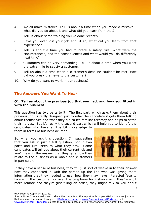- 4. We all make mistakes. Tell us about a time when you made a mistake what did you do about it and what did you learn from that?
- 5. Tell us about some training you've done recently.
- 6. Have you ever lost your job and, if so, what did you learn from that experience?
- 7. Tell us about a time you had to break a safety rule. What were the circumstances, and the consequences and what would you do differently next time?
- 8. Customers can be very demanding. Tell us about a time when you went the extra mile to satisfy a customer.
- 9. Tell us about a time when a customer's deadline couldn't be met. How did you break the news to the customer?
- 10. Why do you want to work in our business?

## **The Answers You Want To Hear**

#### **Q1. Tell us about the previous job that you had, and how you fitted in with the business.**

This question has two parts to it. The first part, which asks them about their previous job, is really designed just to relax the candidate it gets them talking about themselves and what they did so it's familiar territory and helps to settle their nerves. But it's really the second part which will help you to identify the candidates who have a little bit more edge to

them in terms of business acumen.

So, when you ask this question, I'm suggesting that you ask it just a full question, not in two parts and just listen to what they say. Some candidates will tell you about their current job and you'll hear in the answer that they give how they relate to the business as a whole and customers in particular.



If they have a sense of business, they will just sort of weave in to their answer how they connected in with the person up the line who was giving them information that they needed to use, how they may have interacted face to face with the customer, or over the telephone for instance or if they're a bit more remote and they're just filling an order, they might talk to you about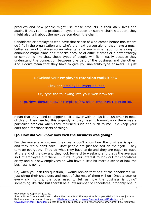products and how people might use those products in their daily lives and again, if they're in a production-type situation or supply-chain situation, they might also talk about the next person down the chain.

Candidates or employees who have that sense of who comes before me, where do I fit in the organisation and who's the next person along, they have a much better sense of business so an advantage to you is when you come along to announce major plans or cut backs because of difficult times or a new strategy or something like that, these types of people will fit in easily because they understand the connection between one part of the business and the other. And I don't mean that they have to give you university-type answers. I just

### Download your **employee retention toolkit** now.

### Click on: [Employee Retention Plan](http://hrwisdom.com.au/hr-templates/hrwisdom-employee-retention-kit/)

### Or, type the following into your web browser:

<http://hrwisdom.com.au/hr-templates/hrwisdom-employee-retention-kit/>

mean that they need to pepper their answer with things like customer in need of this or they needed this urgently or they need it tomorrow or there was a particular problem when they returned such and such to me. So keep your ears open for those sorts of things.

### **Q2. How did you know how well the business was going?**

For the average employee, they really don't know how the business is going and they really don't care. Most people are just focused on their job. They turn up everyday. They do what they have to do and they are eager to leave at the end of the day and they look forward to weekend and that's the average sort of employee out there. But it's in your interest to look out for candidates or try and put new employees on who have a little bit more a sense of how the business is going.

So, when you ask this question, I would reckon that half of the candidates will just shrug their shoulders and most of the rest of them will go "Once a year or every six months, the boss used to tell us how the business is going" something like that but there'll be a low number of candidates, probably one in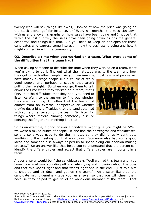twenty who will say things like "Well, I looked at how the price was going on the stock exchange" for instance, or "Every six months, the boss sits down with us and shows his graphs on how sales have been going and I notice that within the last quarter, the sales have been going down as has the general economy" and things like that. So you need to keep an ear open for those candidates who express some interest in how the business is going and how it might connect in with the community.

#### **Q3. Describe a time when you worked on a team. What were some of the difficulties that this team had?**

When asking someone to describe the time when they worked on a team, what you're trying to do is find out what their attitude was to the team and how they got on with other people. As you can imagine, most teams of people will

have mostly average people like a couple of really good people and perhaps a couple that aren't pulling their weight. So when you get them to talk about the time when they worked on a team, that's fine. But the difficulties that they had, you need to listen carefully to the answer to find out whether they are describing difficulties that the team had almost from an external perspective or whether they're describing difficulties that the candidate had with some other person on the team. So listen for things where they're blaming somebody else or pointing the finger or something like that.



So as an example, a good answer a candidate might give you might be "Well, we we're a mixed bunch of people. If one had their strengths and weaknesses, so and so always used to do the minutes so they didn't really contribute anything to the meeting but that was okay. Someone else had some good ideas and someone else always helped us to speed along our decision making process." So an answer like that helps you to understand that the person can identify the different roles and accept that different roles are important in a team.

A poor answer would be if the candidate says "Well we had this team and, you know, Joe is always sounding off and whinnying and moaning about the boss and that this wasn't right and that wasn't right and in the end, I just told him to shut up and sit down and get off the team." An answer like that, the candidate might genuinely give you an answer so that you will cheer them because they helped to get rid of an obnoxious member of the team. That

Special Note: You are welcome to share the contents of this report with proper attribution – we just ask that you send the person through to **HRwisdom.com.au or www.Facebook.com/HRwisdom** or to www.Twitter.com/HRwisdom so that they can get access to this report and to other great free resources.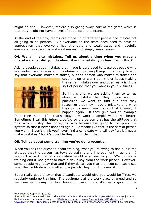might be fine. However, they're also giving away part of the game which is that they might not have a level of patience and tolerance.

At the end of the day, teams are made up of different people and they're not all going to be perfect. But everyone on the team does need to have an appreciation that everyone has strengths and weaknesses and hopefully everyone has strengths and weaknesses, not simply weaknesses.

#### **Q4. We all make mistakes. Tell us about a time when you made a mistake - what did you do about it and what did you learn from that?**

Asking people about mistakes they made is very good to tease out people who are resilient and interested in continually improving things. It's pretty true to say that everyone makes mistakes, but the person who makes mistakes and



covers it up or won't admit it or keeps making the same mistakes over and over really isn't the sort of person that you want in your business.

So in this one, we are asking them to tell us about a mistake that they made and, in particular, we want to find out how they recognize that they made a mistake and what they did to learn from that so that it wouldn't happen again. If they give you an example

from their home life, that's okay. A work example would be better. Sometimes I call this *future proofing* so the person that has the attitude that "it's okay if I stop that once, it's okay because I'm going to fool-proof the system so that it never happens again. Someone like that is the sort of person you want. I don't think you'll ever find a candidate who will say "Well, I never make mistakes," but it's possible they might claim that.

### **Q5. Tell us about some training you've done recently.**

When you ask the question about training, what you're trying to find out is the attitude that the person has towards training and improvement in general. I wouldn't expect that any candidate would ever say to you "We did some training and it was great to have a day away from the work place." However, some people might say that and if they do tell you that then you can easily see what their attitude is no matter how jovially they might present it.

But a really good answer that a candidate would give you would be '"Yes, we regularly undergo training. The equipment at the work place changed and so we were sent away for four hours of training and it's really good of the

HRwisdom © Copyright (2012).

Special Note: You are welcome to share the contents of this report with proper attribution – we just ask that you send the person through to **HRwisdom.com.au or www.Facebook.com/HRwisdom** or to www.Twitter.com/HRwisdom so that they can get access to this report and to other great free resources.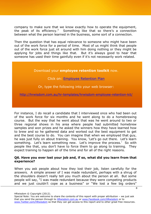company to make sure that we know exactly how to operate the equipment, the peak of its efficiency." Something like that so there's a connection between what the person learned in the business, some sort of a connection.

Then the question that has equal relevance to someone who might have been out of the work force for a period of time. Most of us might think that people out of the work force just sit around with him doing nothing or they might be applying for jobs and things like that. But it's always good to hear that someone has used their time gainfully even if it's not necessarily work related.

### Download your **employee retention toolkit** now.

### Click on: **Employee Retention Plan**

### Or, type the following into your web browser:

<http://hrwisdom.com.au/hr-templates/hrwisdom-employee-retention-kit/>

For instance, I do recall a candidate that I interviewed once who had been out of the work force for six months and he went along to do a homebrewing course. But the way that he went about that was he went around to two or three regional shows in his area where people had submitted homebrew samples and won prizes and he asked the winners how they have learned how to brew and so he gathered data and worked out the best equipment to get and the best course to do. You can imagine that when we employed that guy, he was just fully on about training. You know, 'Let's go out there. Let's learn something. Let's learn something new. Let's improve the process.' So with people like that, you don't have to force them to go along to training. They expect training to happen all of the time and for all of the right reasons.

### **Q6. Have you ever lost your job and, if so, what did you learn from that experience?**

When you ask people about how they lost their job, listen carefully for the answers. A simple answer of I was made redundant, perhaps with a shrug of the shoulders doesn't really tell you much about the person at all. But some people will say, "I was made redundant because they were competing products and we just couldn't cope as a business" or "We lost a few big orders"

HRwisdom © Copyright (2012).

8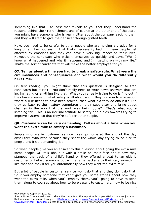something like that. At least that reveals to you that they understand the reasons behind their retrenchment and of course at the other end of the scale, you might have someone who is really bitter about the company sacking them and they will start to give their answer through gritted teeth.

Now, you need to be careful to other people who are holding a grudge for a long time. I'm not saying that that's necessarily bad. I mean people get affected by emotions and they can have a very big impact on their lives. However, the candidate who picks themselves up quickly and says, "Well I know what happened and why it happened and I'm getting on with my life." That's the sort of candidate that will make the better employee for you.

#### **Q7. Tell us about a time you had to break a safety rule. What were the circumstances and consequences and what would you do differently next time?**

On first reading, you might think that this question is designed to trap candidates but it isn't. You don't really need to write down answers that are incriminating or anything like that. What you're really trying to do is find out if they have a sense of what safety is all about and if they come in to a situation where a rule needs to have been broken, then what did they do about it? Did they go back to their safety committee or their supervisor and bring about changes in the way that the work was being done? That's what you're listening for. This is an internal attitude to safety and a bias towards trying to improve systems so that they're safe for other people.

### **Q8. Customers can be very demanding. Tell us about a time when you went the extra mile to satisfy a customer.**

People who are in customer service roles go home at the end of the day absolutely exhausted because they spent the whole day trying to be nice to people and it's a demanding job.

So when people give you an answer to this question about going the extra mile, some people will talk about it with a smile on their face about how they stamped the back of a child's hand or they offered a seat to an elderly customer or helped someone out with a large package to their car, something like that and they'll tell you automatically how they went the extra mile.

But a lot of people in customer service won't do that and they don't do that. So if you employ someone that can't give you some stories about how they went the extra mile, when you'll employ them, you'll going to have to send them along to courses about how to be pleasant to customers, how to be nice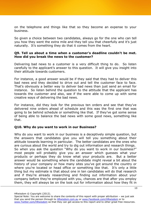on the telephone and things like that so they become an expense to your business.

So given a choice between two candidates, always go for the one who can tell you how they went the extra mile and they tell you that cheerfully and it's just naturally. It's something they do that it comes from the heart.

### **Q9. Tell us about a time when a customer's deadline couldn't be met. How did you break the news to the customer?**

Delivering bad news to a customer is a very difficult thing to do. So listen carefully to the applicant's answer to this question. It will give you insight into their attitude towards customers.

For instance, a good answer would be if they said that they had to deliver this bad news and they decided to drive out and tell the customer face to face. That's obviously a better way to deliver bad news than just send an email for instance. So listen behind the question to the attitude that the applicant has towards the customer and also, see if the were able to come up with some creative ways of delivering the bad news.

For instance, did they look for the previous ten orders and see that they've delivered nine orders ahead of schedule and this was the first one that was going to be behind schedule or something like that. If they've got some sense of being able to balance the bad news with some good news, something like that.

### **Q10. Why do you want to work in our Business?**

Why do you want to work in our business is a deceptively simple question, but the answers that candidates give you will tell you something about their attitude towards learning in particular. The better candidates are the ones who are curious about the world and try to dig out information and research things. So when you ask the question "Why do you want to work in our business?" most people will probably give you an answer which guesses what your products or perhaps they do know what your products are. But a better answer would be something where the candidate might reveal a bit about the history of your company or how many sites you've got around the country or where you're located or head office or something like that. It's only a little thing but my estimate is that about one in ten candidates will do that research and if they're already researching and finding out information about your company before they're employed with you, chances are that after you employ them, they will always be on the look out for information about how they fit in

Special Note: You are welcome to share the contents of this report with proper attribution – we just ask that you send the person through to **HRwisdom.com.au or www.Facebook.com/HRwisdom** or to www.Twitter.com/HRwisdom so that they can get access to this report and to other great free resources.